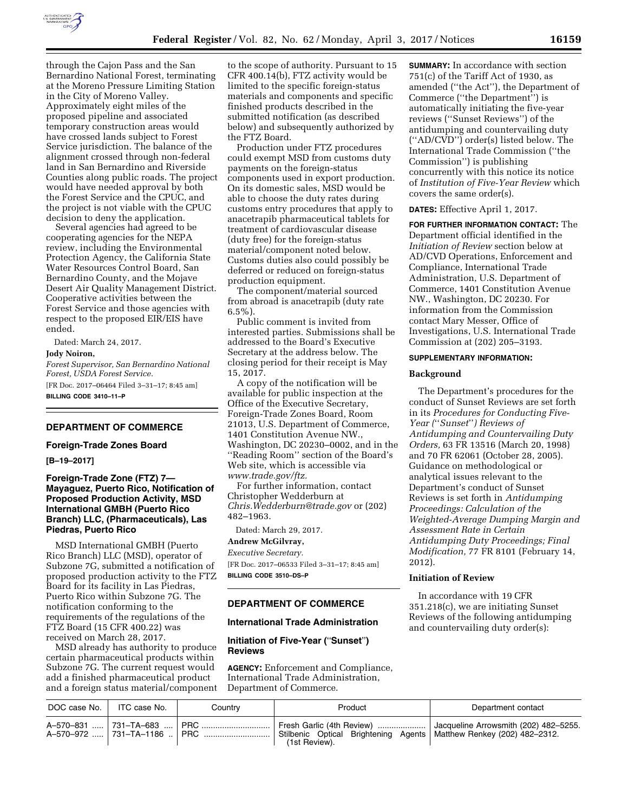

through the Cajon Pass and the San Bernardino National Forest, terminating at the Moreno Pressure Limiting Station in the City of Moreno Valley. Approximately eight miles of the proposed pipeline and associated temporary construction areas would have crossed lands subject to Forest Service jurisdiction. The balance of the alignment crossed through non-federal land in San Bernardino and Riverside Counties along public roads. The project would have needed approval by both the Forest Service and the CPUC, and the project is not viable with the CPUC decision to deny the application.

Several agencies had agreed to be cooperating agencies for the NEPA review, including the Environmental Protection Agency, the California State Water Resources Control Board, San Bernardino County, and the Mojave Desert Air Quality Management District. Cooperative activities between the Forest Service and those agencies with respect to the proposed EIR/EIS have ended.

Dated: March 24, 2017.

#### **Jody Noiron,**

*Forest Supervisor, San Bernardino National Forest, USDA Forest Service.*  [FR Doc. 2017–06464 Filed 3–31–17; 8:45 am]

**BILLING CODE 3410–11–P** 

## **DEPARTMENT OF COMMERCE**

### **Foreign-Trade Zones Board**

**[B–19–2017]** 

## **Foreign-Trade Zone (FTZ) 7— Mayaguez, Puerto Rico, Notification of Proposed Production Activity, MSD International GMBH (Puerto Rico Branch) LLC, (Pharmaceuticals), Las Piedras, Puerto Rico**

MSD International GMBH (Puerto Rico Branch) LLC (MSD), operator of Subzone 7G, submitted a notification of proposed production activity to the FTZ Board for its facility in Las Piedras, Puerto Rico within Subzone 7G. The notification conforming to the requirements of the regulations of the FTZ Board (15 CFR 400.22) was received on March 28, 2017.

MSD already has authority to produce certain pharmaceutical products within Subzone 7G. The current request would add a finished pharmaceutical product and a foreign status material/component

to the scope of authority. Pursuant to 15 CFR 400.14(b), FTZ activity would be limited to the specific foreign-status materials and components and specific finished products described in the submitted notification (as described below) and subsequently authorized by the FTZ Board.

Production under FTZ procedures could exempt MSD from customs duty payments on the foreign-status components used in export production. On its domestic sales, MSD would be able to choose the duty rates during customs entry procedures that apply to anacetrapib pharmaceutical tablets for treatment of cardiovascular disease (duty free) for the foreign-status material/component noted below. Customs duties also could possibly be deferred or reduced on foreign-status production equipment.

The component/material sourced from abroad is anacetrapib (duty rate  $6.5\%$ ).

Public comment is invited from interested parties. Submissions shall be addressed to the Board's Executive Secretary at the address below. The closing period for their receipt is May 15, 2017.

A copy of the notification will be available for public inspection at the Office of the Executive Secretary, Foreign-Trade Zones Board, Room 21013, U.S. Department of Commerce, 1401 Constitution Avenue NW., Washington, DC 20230–0002, and in the ''Reading Room'' section of the Board's Web site, which is accessible via *[www.trade.gov/ftz.](http://www.trade.gov/ftz)* 

For further information, contact Christopher Wedderburn at *[Chris.Wedderburn@trade.gov](mailto:Chris.Wedderburn@trade.gov)* or (202) 482–1963.

Dated: March 29, 2017.

# **Andrew McGilvray,**

*Executive Secretary.*  [FR Doc. 2017–06533 Filed 3–31–17; 8:45 am] **BILLING CODE 3510–DS–P** 

### **DEPARTMENT OF COMMERCE**

#### **International Trade Administration**

## **Initiation of Five-Year (**''**Sunset**''**) Reviews**

**AGENCY:** Enforcement and Compliance, International Trade Administration, Department of Commerce.

**SUMMARY:** In accordance with section 751(c) of the Tariff Act of 1930, as amended (''the Act''), the Department of Commerce (''the Department'') is automatically initiating the five-year reviews (''Sunset Reviews'') of the antidumping and countervailing duty (''AD/CVD'') order(s) listed below. The International Trade Commission (''the Commission'') is publishing concurrently with this notice its notice of *Institution of Five-Year Review* which covers the same order(s).

### **DATES:** Effective April 1, 2017.

**FOR FURTHER INFORMATION CONTACT:** The Department official identified in the *Initiation of Review* section below at AD/CVD Operations, Enforcement and Compliance, International Trade Administration, U.S. Department of Commerce, 1401 Constitution Avenue NW., Washington, DC 20230. For information from the Commission contact Mary Messer, Office of Investigations, U.S. International Trade Commission at (202) 205–3193.

#### **SUPPLEMENTARY INFORMATION:**

### **Background**

The Department's procedures for the conduct of Sunset Reviews are set forth in its *Procedures for Conducting Five-Year (*''*Sunset*''*) Reviews of Antidumping and Countervailing Duty Orders,* 63 FR 13516 (March 20, 1998) and 70 FR 62061 (October 28, 2005). Guidance on methodological or analytical issues relevant to the Department's conduct of Sunset Reviews is set forth in *Antidumping Proceedings: Calculation of the Weighted-Average Dumping Margin and Assessment Rate in Certain Antidumping Duty Proceedings; Final Modification,* 77 FR 8101 (February 14, 2012).

### **Initiation of Review**

In accordance with 19 CFR 351.218(c), we are initiating Sunset Reviews of the following antidumping and countervailing duty order(s):

| DOC case No.   ITC case No. | Country | Product                                                                                                                                                                                      | Department contact |
|-----------------------------|---------|----------------------------------------------------------------------------------------------------------------------------------------------------------------------------------------------|--------------------|
|                             |         | A-570-831  731-TA-683    PRC    Fresh Garlic (4th Review)    Jacqueline Arrowsmith (202) 482-5255.<br>Stilbenic Optical Brightening Agents   Matthew Renkey (202) 482–2312.<br>(1st Review). |                    |